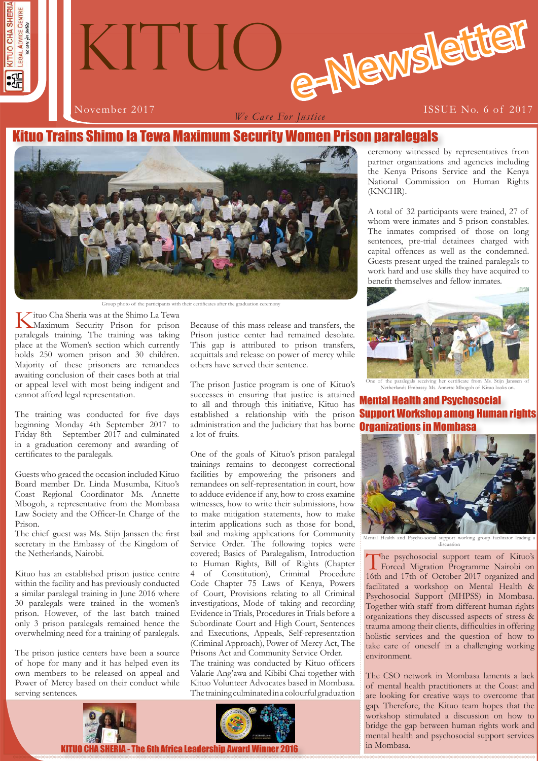



*We Care For Justice*

November 2017 **ISSUE No. 6 of 2017** 

# Kituo Trains Shimo la Tewa Maximum Security Women Prison paralegals



Group photo of the participants with their certificates after the graduation ceremony

Kituo Cha Sheria was at the Shimo La Tewa Maximum Security Prison for prison paralegals training. The training was taking place at the Women's section which currently holds 250 women prison and 30 children. Majority of these prisoners are remandees awaiting conclusion of their cases both at trial or appeal level with most being indigent and cannot afford legal representation.

The training was conducted for five days beginning Monday 4th September 2017 to Friday 8th September 2017 and culminated in a graduation ceremony and awarding of certificates to the paralegals.

Guests who graced the occasion included Kituo Board member Dr. Linda Musumba, Kituo's Coast Regional Coordinator Ms. Annette Mbogoh, a representative from the Mombasa Law Society and the Officer-In Charge of the Prison.

The chief guest was Ms. Stijn Janssen the first secretary in the Embassy of the Kingdom of the Netherlands, Nairobi.

Kituo has an established prison justice centre within the facility and has previously conducted a similar paralegal training in June 2016 where 30 paralegals were trained in the women's prison. However, of the last batch trained only 3 prison paralegals remained hence the overwhelming need for a training of paralegals.

The prison justice centers have been a source of hope for many and it has helped even its own members to be released on appeal and Power of Mercy based on their conduct while serving sentences.



Because of this mass release and transfers, the Prison justice center had remained desolate. This gap is attributed to prison transfers, acquittals and release on power of mercy while others have served their sentence.

The prison Justice program is one of Kituo's successes in ensuring that justice is attained to all and through this initiative, Kituo has established a relationship with the prison administration and the Judiciary that has borne **Organizations in Mombasa** a lot of fruits.

One of the goals of Kituo's prison paralegal trainings remains to decongest correctional facilities by empowering the prisoners and remandees on self-representation in court, how to adduce evidence if any, how to cross examine witnesses, how to write their submissions, how to make mitigation statements, how to make interim applications such as those for bond, bail and making applications for Community Service Order. The following topics were covered; Basics of Paralegalism, Introduction to Human Rights, Bill of Rights (Chapter 4 of Constitution), Criminal Procedure Code Chapter 75 Laws of Kenya, Powers of Court, Provisions relating to all Criminal investigations, Mode of taking and recording Evidence in Trials, Procedures in Trials before a Subordinate Court and High Court, Sentences and Executions, Appeals, Self-representation (Criminal Approach), Power of Mercy Act, The Prisons Act and Community Service Order. The training was conducted by Kituo officers Valarie Ang'awa and Kibibi Chai together with Kituo Volunteer Advocates based in Mombasa. The training culminated in a colourful graduation



ceremony witnessed by representatives from partner organizations and agencies including the Kenya Prisons Service and the Kenya National Commission on Human Rights (KNCHR).

A total of 32 participants were trained, 27 of whom were inmates and 5 prison constables. The inmates comprised of those on long sentences, pre-trial detainees charged with capital offences as well as the condemned. Guests present urged the trained paralegals to work hard and use skills they have acquired to benefit themselves and fellow inmates.



One of the paralegals receiving her certificate from Ms. Stijn Janssen of Netherlands Embassy. Ms. Annette Mbogoh of Kituo looks on.

Mental Health and Psychosocial Support Workshop among Human rights



discussion

The psychosocial support team of Kituo's Forced Migration Programme Nairobi on 16th and 17th of October 2017 organized and facilitated a workshop on Mental Health & Psychosocial Support (MHPSS) in Mombasa. Together with staff from different human rights organizations they discussed aspects of stress & trauma among their clients, difficulties in offering holistic services and the question of how to take care of oneself in a challenging working environment.

The CSO network in Mombasa laments a lack of mental health practitioners at the Coast and are looking for creative ways to overcome that gap. Therefore, the Kituo team hopes that the workshop stimulated a discussion on how to bridge the gap between human rights work and mental health and psychosocial support services in Mombasa.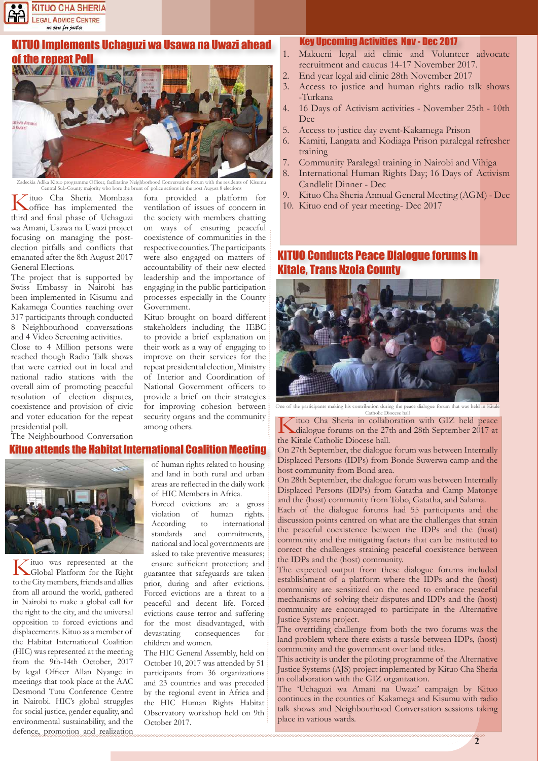

# **UO Implements Uchaguzi wa Usawa na Uwazi ahead** of the repeat Poll



programme Officer, facilitating Neighborhood Conversation forum with the Central Sub-County majority who bore the brunt of police actions in the post August 8 elections

Government.

among others.

Kituo Cha Sheria Mombasa office has implemented the third and final phase of Uchaguzi wa Amani, Usawa na Uwazi project focusing on managing the postelection pitfalls and conflicts that emanated after the 8th August 2017 General Elections.

The project that is supported by Swiss Embassy in Nairobi has been implemented in Kisumu and Kakamega Counties reaching over 317 participants through conducted 8 Neighbourhood conversations and 4 Video Screening activities.

Close to 4 Million persons were reached though Radio Talk shows that were carried out in local and national radio stations with the overall aim of promoting peaceful resolution of election disputes, coexistence and provision of civic and voter education for the repeat presidential poll.

The Neighbourhood Conversation

## Kituo attends the Habitat International Coalition Meeting



Kituo was represented at the Global Platform for the Right to the City members, friends and allies from all around the world, gathered in Nairobi to make a global call for the right to the city, and the universal opposition to forced evictions and displacements. Kituo as a member of the Habitat International Coalition (HIC) was represented at the meeting from the 9th-14th October, 2017 by legal Officer Allan Nyange in meetings that took place at the AAC Desmond Tutu Conference Centre in Nairobi. HIC's global struggles for social justice, gender equality, and environmental sustainability, and the defence, promotion and realization

of human rights related to housing and land in both rural and urban areas are reflected in the daily work of HIC Members in Africa.

fora provided a platform for ventilation of issues of concern in the society with members chatting on ways of ensuring peaceful coexistence of communities in the respective counties. The participants were also engaged on matters of accountability of their new elected leadership and the importance of engaging in the public participation processes especially in the County

Kituo brought on board different stakeholders including the IEBC to provide a brief explanation on their work as a way of engaging to improve on their services for the repeat presidential election, Ministry of Interior and Coordination of National Government officers to provide a brief on their strategies for improving cohesion between security organs and the community

Forced evictions are a gross violation of human rights. According to international standards and commitments, national and local governments are asked to take preventive measures; ensure sufficient protection; and guarantee that safeguards are taken prior, during and after evictions.

Forced evictions are a threat to a peaceful and decent life. Forced evictions cause terror and suffering for the most disadvantaged, with devastating consequences for children and women.

The HIC General Assembly, held on October 10, 2017 was attended by 51 participants from 36 organizations and 23 countries and was preceded by the regional event in Africa and the HIC Human Rights Habitat Observatory workshop held on 9th October 2017.

### Key Upcoming Activities Nov - Dec 2017

- 1. Makueni legal aid clinic and Volunteer advocate recruitment and caucus 14-17 November 2017.
- 2. End year legal aid clinic 28th November 2017
- 3. Access to justice and human rights radio talk shows -Turkana
- 4. 16 Days of Activism activities November 25th 10th Dec
- 5. Access to justice day event-Kakamega Prison
- 6. Kamiti, Langata and Kodiaga Prison paralegal refresher training
- 7. Community Paralegal training in Nairobi and Vihiga
- 8. International Human Rights Day; 16 Days of Activism Candlelit Dinner - Dec
- 9. Kituo Cha Sheria Annual General Meeting (AGM) Dec
- 10. Kituo end of year meeting- Dec 2017

# **O Conducts Peace Dialogue forums in** Kitale, Trans Nzoia County



One of the participants making his contribution during the peace dialogue forum that was held in Ki

Catholic Diocese hall<br>
Fituo Cha Sheria in collaboration with GIZ held peace Kituo Cha Sheria in collaboration with GIZ held peace dialogue forums on the 27th and 28th September 2017 at the Kitale Catholic Diocese hall.

On 27th September, the dialogue forum was between Internally Displaced Persons (IDPs) from Bonde Suwerwa camp and the host community from Bond area.

On 28th September, the dialogue forum was between Internally Displaced Persons (IDPs) from Gatatha and Camp Matonye and the (host) community from Tobo, Gatatha, and Salama.

Each of the dialogue forums had 55 participants and the discussion points centred on what are the challenges that strain the peaceful coexistence between the IDPs and the (host) community and the mitigating factors that can be instituted to correct the challenges straining peaceful coexistence between the IDPs and the (host) community.

The expected output from these dialogue forums included establishment of a platform where the IDPs and the (host) community are sensitized on the need to embrace peaceful mechanisms of solving their disputes and IDPs and the (host) community are encouraged to participate in the Alternative Justice Systems project.

The overriding challenge from both the two forums was the land problem where there exists a tussle between IDPs, (host) community and the government over land titles.

This activity is under the piloting programme of the Alternative Justice Systems (AJS) project implemented by Kituo Cha Sheria in collaboration with the GIZ organization.

The 'Uchaguzi wa Amani na Uwazi' campaign by Kituo continues in the counties of Kakamega and Kisumu with radio talk shows and Neighbourhood Conversation sessions taking place in various wards.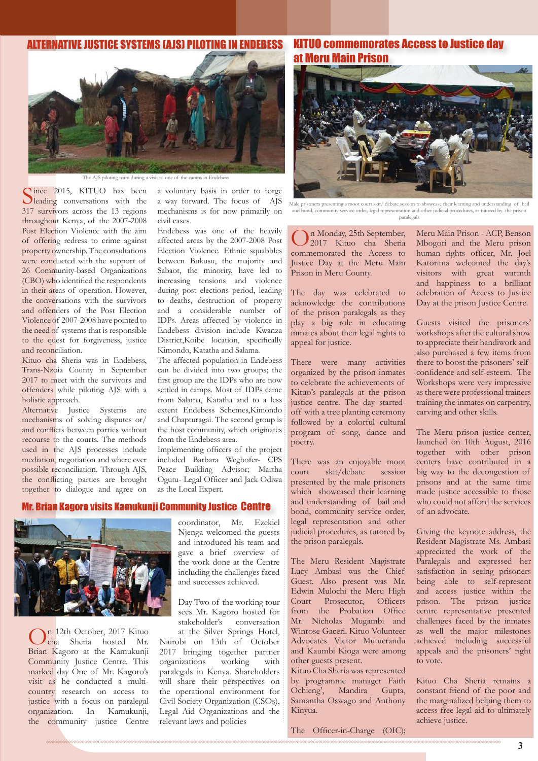## ALTERNATIVE JUSTICE SYSTEMS (AJS) PILOTING IN ENDEBESS



The AJS piloting team during a visit to one of the camps in Endebess

Since 2015, KITUO has been<br>leading conversations with the 317 survivors across the 13 regions throughout Kenya, of the 2007-2008 Post Election Violence with the aim of offering redress to crime against property ownership. The consultations were conducted with the support of 26 Community-based Organizations (CBO) who identified the respondents in their areas of operation. However, the conversations with the survivors and offenders of the Post Election Violence of 2007-2008 have pointed to the need of systems that is responsible to the quest for forgiveness, justice and reconciliation.

Kituo cha Sheria was in Endebess, Trans-Nzoia County in September 2017 to meet with the survivors and offenders while piloting AJS with a holistic approach.

Alternative Justice Systems are mechanisms of solving disputes or/ and conflicts between parties without recourse to the courts. The methods used in the AJS processes include mediation, negotiation and where ever possible reconciliation. Through AJS, the conflicting parties are brought together to dialogue and agree on

a voluntary basis in order to forge a way forward. The focus of AJS mechanisms is for now primarily on civil cases.

Endebess was one of the heavily affected areas by the 2007-2008 Post Election Violence. Ethnic squabbles between Bukusu, the majority and Sabaot, the minority, have led to increasing tensions and violence during post elections period, leading to deaths, destruction of property and a considerable number of IDPs. Areas affected by violence in Endebess division include Kwanza District,Koibe location, specifically Kimondo, Katatha and Salama.

The affected population in Endebess can be divided into two groups; the first group are the IDPs who are now settled in camps. Most of IDPs came from Salama, Katatha and to a less extent Endebess Schemes,Kimondo and Chapturagai. The second group is the host community, which originates from the Endebess area.

Implementing officers of the project included Barbara Weghofer- CPS Peace Building Advisor; Martha Ogutu- Legal Officer and Jack Odiwa as the Local Expert.

## Mr. Brian Kagoro visits Kamukunji Community Justice Centre



On 12th October, 2017 Kituo cha Sheria hosted Mr. Brian Kagoro at the Kamukunji Community Justice Centre. This marked day One of Mr. Kagoro's visit as he conducted a multicountry research on access to justice with a focus on paralegal organization. In Kamukunji, the community justice Centre

coordinator, Mr. Ezekiel Njenga welcomed the guests and introduced his team and gave a brief overview of the work done at the Centre including the challenges faced and successes achieved.

Day Two of the working tour sees Mr. Kagoro hosted for<br>stakeholder's conversation conversation at the Silver Springs Hotel,

Nairobi on 13th of October 2017 bringing together partner organizations working with paralegals in Kenya. Shareholders will share their perspectives on the operational environment for Civil Society Organization (CSOs), Legal Aid Organizations and the relevant laws and policies

KITUO commemorates Access to Justice day at Meru Main Prison



Male prisoners presenting a moot court skit/ debate session to showcase their learning and understanding of bail and bond, community service order, legal representation and other judicial procedures, as tutored by the prison paralegals

On Monday, 25th September, 2017 Kituo cha Sheria commemorated the Access to Justice Day at the Meru Main Prison in Meru County.

The day was celebrated to acknowledge the contributions of the prison paralegals as they play a big role in educating inmates about their legal rights to appeal for justice.

There were many activities organized by the prison inmates to celebrate the achievements of Kituo's paralegals at the prison justice centre. The day startedoff with a tree planting ceremony followed by a colorful cultural program of song, dance and poetry.

There was an enjoyable moot court skit/debate session presented by the male prisoners which showcased their learning and understanding of bail and bond, community service order, legal representation and other judicial procedures, as tutored by the prison paralegals.

The Meru Resident Magistrate Lucy Ambasi was the Chief Guest. Also present was Mr. Edwin Mulochi the Meru High Court Prosecutor, Officers from the Probation Office Mr. Nicholas Mugambi and Winrose Gaceri. Kituo Volunteer Advocates Victor Mutuerandu and Kaumbi Kioga were among other guests present.

Kituo Cha Sheria was represented by programme manager Faith Ochieng', Mandira Gupta, Samantha Oswago and Anthony Kinyua.

The Officer-in-Charge (OIC);

Meru Main Prison - ACP, Benson Mbogori and the Meru prison human rights officer, Mr. Joel Katorima welcomed the day's visitors with great warmth and happiness to a brilliant celebration of Access to Justice Day at the prison Justice Centre.

Guests visited the prisoners' workshops after the cultural show to appreciate their handiwork and also purchased a few items from there to boost the prisoners' selfconfidence and self-esteem. The Workshops were very impressive as there were professional trainers training the inmates on carpentry, carving and other skills.

The Meru prison justice center, launched on 10th August, 2016 together with other prison centers have contributed in a big way to the decongestion of prisons and at the same time made justice accessible to those who could not afford the services of an advocate.

Giving the keynote address, the Resident Magistrate Ms. Ambasi appreciated the work of the Paralegals and expressed her satisfaction in seeing prisoners being able to self-represent and access justice within the prison. The prison justice centre representative presented challenges faced by the inmates as well the major milestones achieved including successful appeals and the prisoners' right to vote.

Kituo Cha Sheria remains a constant friend of the poor and the marginalized helping them to access free legal aid to ultimately achieve justice.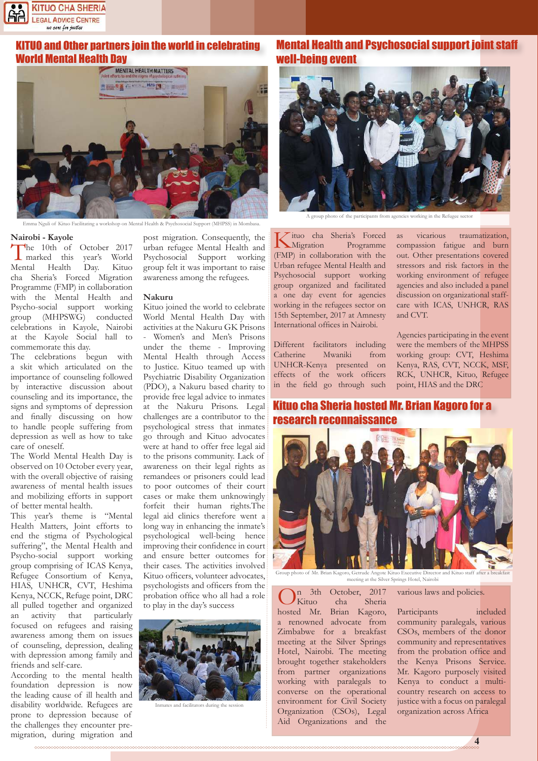

# KITUO and Other partners join the world in celebrating



a Nguli of Kituo Facilitating a workshop on Mental Health & Psychosocial Support (MHPSS) in Mombasa.

#### **Nairobi - Kayole**

The 10th of October 2017<br>marked this year's World<br>Mental Health Day. Kituo vear's World Day. cha Sheria's Forced Migration Programme (FMP) in collaboration with the Mental Health and Psycho-social support working group (MHPSWG) conducted celebrations in Kayole, Nairobi at the Kayole Social hall to commemorate this day.

The celebrations begun with a skit which articulated on the importance of counseling followed by interactive discussion about counseling and its importance, the signs and symptoms of depression and finally discussing on how to handle people suffering from depression as well as how to take care of oneself.

The World Mental Health Day is observed on 10 October every year, with the overall objective of raising awareness of mental health issues and mobilizing efforts in support of better mental health.

This year's theme is "Mental Health Matters, Joint efforts to end the stigma of Psychological suffering", the Mental Health and Psycho-social support working group comprising of ICAS Kenya, Refugee Consortium of Kenya, HIAS, UNHCR, CVT, Heshima Kenya, NCCK, Refuge point, DRC all pulled together and organized an activity that particularly focused on refugees and raising awareness among them on issues of counseling, depression, dealing with depression among family and friends and self-care.

According to the mental health foundation depression is now the leading cause of ill health and disability worldwide. Refugees are prone to depression because of the challenges they encounter premigration, during migration and

post migration. Consequently, the urban refugee Mental Health and Psychosocial Support working group felt it was important to raise awareness among the refugees.

#### **Nakuru**

Kituo joined the world to celebrate World Mental Health Day with activities at the Nakuru GK Prisons - Women's and Men's Prisons under the theme - Improving Mental Health through Access to Justice. Kituo teamed up with Psychiatric Disability Organization (PDO), a Nakuru based charity to provide free legal advice to inmates at the Nakuru Prisons. Legal challenges are a contributor to the psychological stress that inmates go through and Kituo advocates were at hand to offer free legal aid to the prisons community. Lack of awareness on their legal rights as remandees or prisoners could lead to poor outcomes of their court cases or make them unknowingly forfeit their human rights.The legal aid clinics therefore went a long way in enhancing the inmate's psychological well-being hence improving their confidence in court and ensure better outcomes for their cases. The activities involved Kituo officers, volunteer advocates, psychologists and officers from the probation office who all had a role to play in the day's success



Ind facilitators during the

# Mental Health and Psychosocial support joint staff well-being event



A group photo of the participants from agencies working in the Refugee sector

Kituo cha Sheria's Forced Migration Programme (FMP) in collaboration with the Urban refugee Mental Health and Psychosocial support working group organized and facilitated a one day event for agencies working in the refugees sector on 15th September, 2017 at Amnesty International offices in Nairobi.

Different facilitators including Catherine Mwaniki from UNHCR-Kenya presented on effects of the work officers in the field go through such

as vicarious traumatization, compassion fatigue and burn out. Other presentations covered stressors and risk factors in the working environment of refugee agencies and also included a panel discussion on organizational staffcare with ICAS, UNHCR, RAS and CVT.

Agencies participating in the event were the members of the MHPSS working group: CVT, Heshima Kenya, RAS, CVT, NCCK, MSF, RCK, UNHCR, Kituo, Refugee point, HIAS and the DRC

Kituo cha Sheria hosted Mr. Brian Kagoro for a 'ch reconnaissance



hoto of Mr. Brian Kagoro, Getrude Angote Kituo Executive Director and Kit meeting at the Silver Springs Hotel, Nairobi

 $\mu$  3th October, 2017<br>Kituo cha Sheria Sheria hosted Mr. Brian Kagoro, a renowned advocate from Zimbabwe for a breakfast meeting at the Silver Springs Hotel, Nairobi. The meeting brought together stakeholders from partner organizations working with paralegals to converse on the operational environment for Civil Society Organization (CSOs), Legal Aid Organizations and the

#### various laws and policies.

Participants included community paralegals, various CSOs, members of the donor community and representatives from the probation office and the Kenya Prisons Service. Mr. Kagoro purposely visited Kenya to conduct a multicountry research on access to justice with a focus on paralegal organization across Africa

**4**